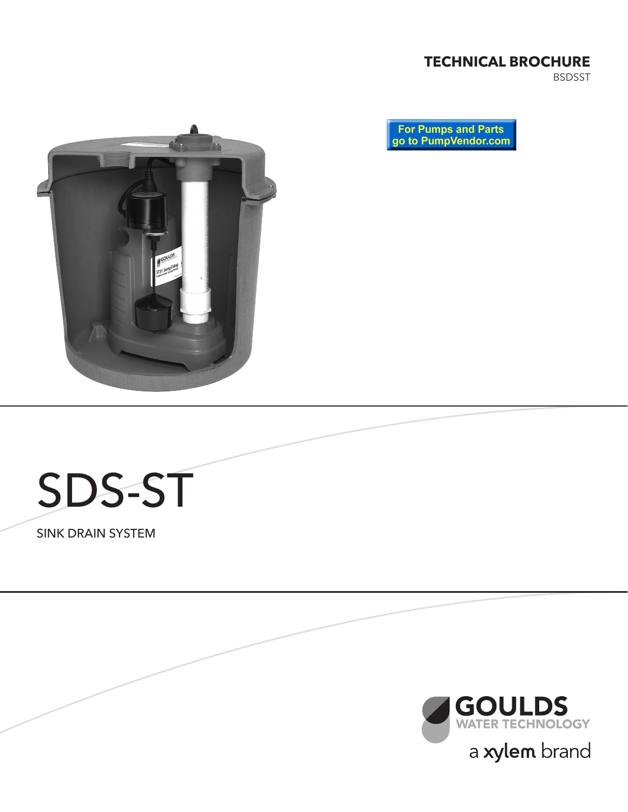#### **TECHNICAL BROCHURE**

BSDSST







SINK DRAIN SYSTEM

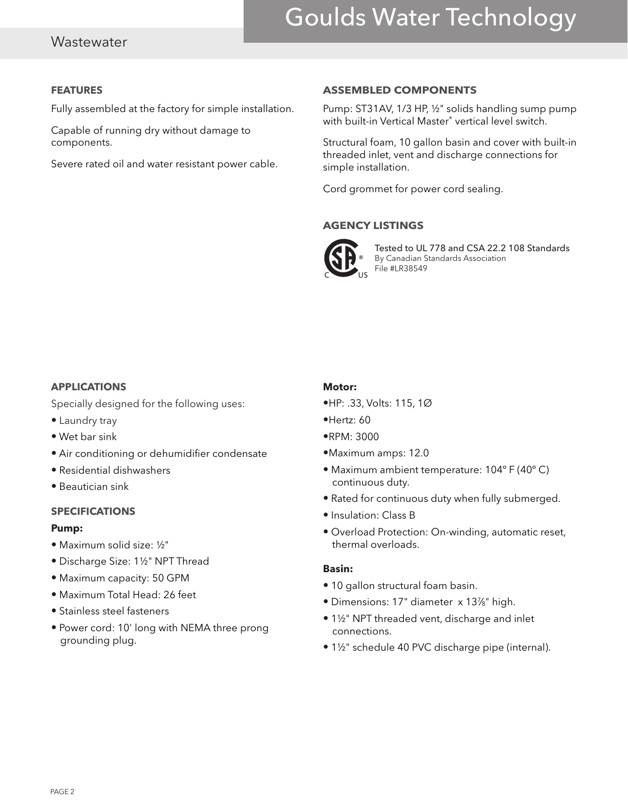# Goulds Water Technology

#### **Wastewater**

#### **FEATURES**

Fully assembled at the factory for simple installation.

Capable of running dry without damage to components.

Severe rated oil and water resistant power cable.

#### **ASSEMBLED COMPONENTS**

Pump: ST31AV, 1/3 HP, ½" solids handling sump pump with built-in Vertical Master® vertical level switch.

Structural foam, 10 gallon basin and cover with built-in threaded inlet, vent and discharge connections for simple installation.

Cord grommet for power cord sealing.

#### **AGENCY LISTINGS**



Tested to UL 778 and CSA 22.2 108 Standards By Canadian Standards Association File #LR38549

#### **APPLICATIONS**

Specially designed for the following uses:

- Laundry tray
- Wet bar sink
- Air conditioning or dehumidifier condensate
- Residential dishwashers
- Beautician sink

#### **SPECIFICATIONS**

#### **Pump:**

- Maximum solid size: ½"
- Discharge Size: 1½" NPT Thread
- Maximum capacity: 50 GPM
- Maximum Total Head: 26 feet
- Stainless steel fasteners
- Power cord: 10' long with NEMA three prong grounding plug.

#### **Motor:**

- •HP: .33, Volts: 115, 1Ø
- •Hertz: 60
- •RPM: 3000
- •Maximum amps: 12.0
- Maximum ambient temperature: 104º F (40º C) continuous duty.
- Rated for continuous duty when fully submerged.
- Insulation: Class B
- Overload Protection: On-winding, automatic reset, thermal overloads.

#### **Basin:**

- 10 gallon structural foam basin.
- Dimensions: 17" diameter x 137⁄8" high.
- 1½" NPT threaded vent, discharge and inlet connections.
- 1½" schedule 40 PVC discharge pipe (internal).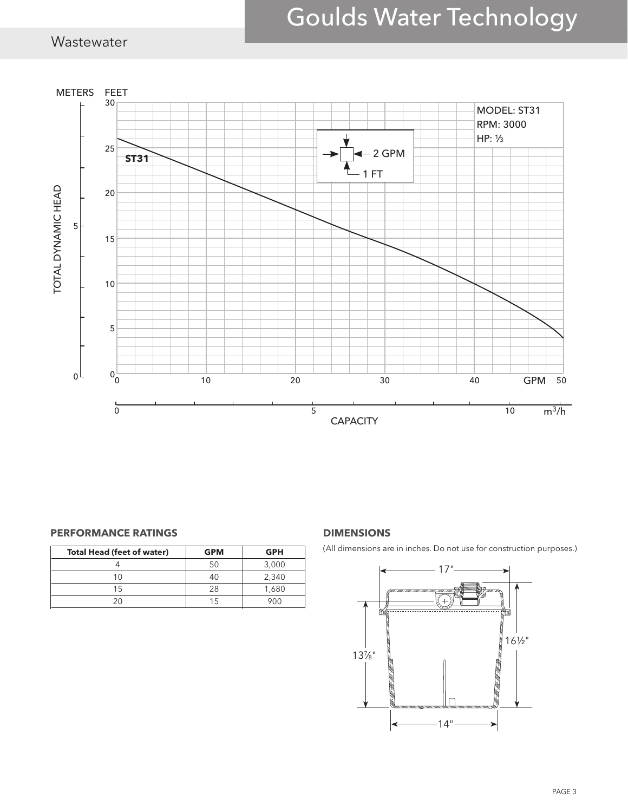# Goulds Water Technology

### Wastewater



#### **PERFORMANCE RATINGS DIMENSIONS**

| <b>Total Head (feet of water)</b> | <b>GPM</b> | <b>GPH</b> |
|-----------------------------------|------------|------------|
|                                   |            | 3,000      |
| 1 በ                               | 40         | 2,340      |
| 15                                | 28         | 1,680      |
|                                   | 15         | 9NN        |

(All dimensions are in inches. Do not use for construction purposes.)